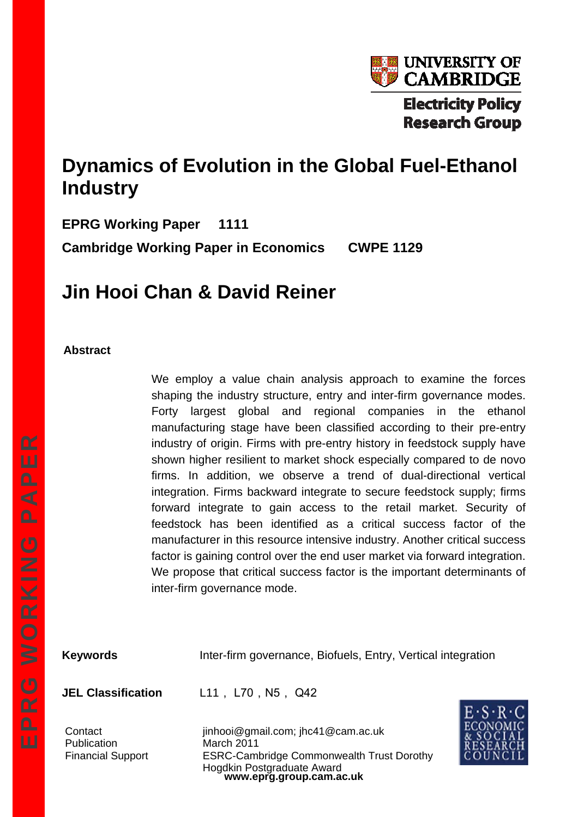

# **Dynamics of Evolution in the Global Fuel-Ethanol Industry**

**EPRG Working Paper 1111 Cambridge Working Paper in Economics CWPE 1129** 

# **Jin Hooi Chan & David Reiner**

#### **Abstract**

We employ a value chain analysis approach to examine the forces shaping the industry structure, entry and inter-firm governance modes. Forty largest global and regional companies in the ethanol manufacturing stage have been classified according to their pre-entry industry of origin. Firms with pre-entry history in feedstock supply have shown higher resilient to market shock especially compared to de novo firms. In addition, we observe a trend of dual-directional vertical integration. Firms backward integrate to secure feedstock supply; firms forward integrate to gain access to the retail market. Security of feedstock has been identified as a critical success factor of the manufacturer in this resource intensive industry. Another critical success factor is gaining control over the end user market via forward integration. We propose that critical success factor is the important determinants of inter-firm governance mode.

**Keywords** Inter-firm governance, Biofuels, Entry, Vertical integration

JEL Classification L11, L70, N5, Q42

Publication March 2011

**www.eprg.group.cam.ac.uk**  Contact jinhooi@gmail.com; jhc41@cam.ac.uk Financial Support ESRC-Cambridge Commonwealth Trust Dorothy Hogdkin Postgraduate Award

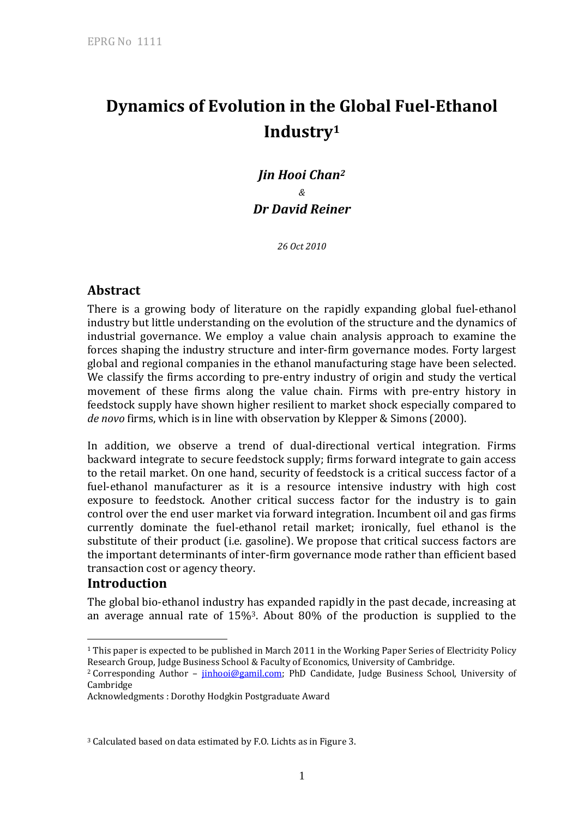# **Dynamics of Evolution in the Global Fuel-Ethanol Industry1**

*Jin Hooi Chan2 & Dr David Reiner* 

*26 Oct 2010* 

## **Abstract**

There is a growing body of literature on the rapidly expanding global fuel-ethanol industry but little understanding on the evolution of the structure and the dynamics of industrial governance. We employ a value chain analysis approach to examine the forces shaping the industry structure and inter-firm governance modes. Forty largest global and regional companies in the ethanol manufacturing stage have been selected. We classify the firms according to pre-entry industry of origin and study the vertical movement of these firms along the value chain. Firms with pre-entry history in feedstock supply have shown higher resilient to market shock especially compared to *de novo* firms, which is in line with observation by Klepper & Simons (2000).

In addition, we observe a trend of dual-directional vertical integration. Firms backward integrate to secure feedstock supply; firms forward integrate to gain access to the retail market. On one hand, security of feedstock is a critical success factor of a fuel-ethanol manufacturer as it is a resource intensive industry with high cost exposure to feedstock. Another critical success factor for the industry is to gain control over the end user market via forward integration. Incumbent oil and gas firms currently dominate the fuel-ethanol retail market; ironically, fuel ethanol is the substitute of their product (i.e. gasoline). We propose that critical success factors are the important determinants of inter-firm governance mode rather than efficient based transaction cost or agency theory.

## **Introduction**

 $\overline{a}$ 

The global bio-ethanol industry has expanded rapidly in the past decade, increasing at an average annual rate of 15%3. About 80% of the production is supplied to the

<sup>1</sup> This paper is expected to be published in March 2011 in the Working Paper Series of Electricity Policy Research Group, Judge Business School & Faculty of Economics, University of Cambridge.<br><sup>2</sup> Corresponding Author – <u>jinhooi@gamil.com</u>; PhD Candidate, Judge Business School, University of

Cambridge

Acknowledgments : Dorothy Hodgkin Postgraduate Award

<sup>3</sup> Calculated based on data estimated by F.O. Lichts as in Figure 3.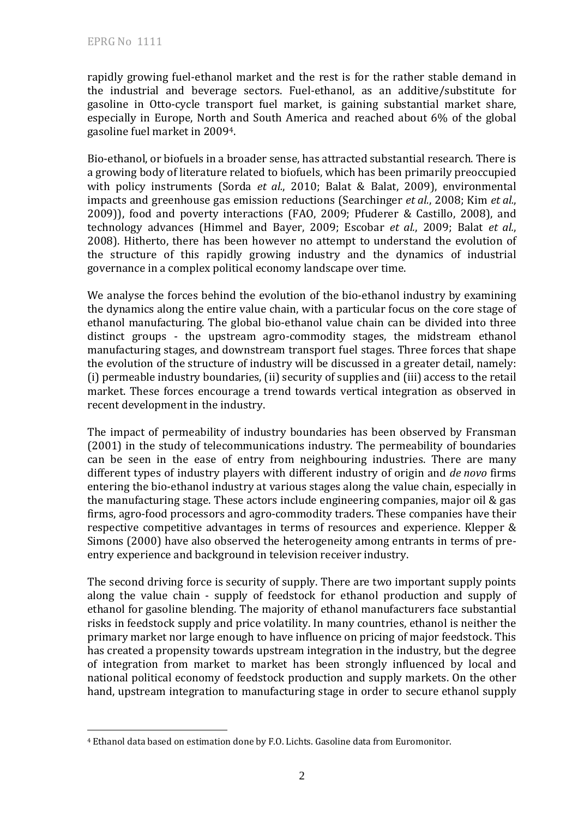$\overline{a}$ 

rapidly growing fuel-ethanol market and the rest is for the rather stable demand in the industrial and beverage sectors. Fuel-ethanol, as an additive/substitute for gasoline in Otto-cycle transport fuel market, is gaining substantial market share, especially in Europe, North and South America and reached about 6% of the global gasoline fuel market in 20094.

Bio-ethanol, or biofuels in a broader sense, has attracted substantial research. There is a growing body of literature related to biofuels, which has been primarily preoccupied with policy instruments (Sorda *et al.*, 2010; Balat & Balat, 2009), environmental impacts and greenhouse gas emission reductions (Searchinger *et al.*, 2008; Kim *et al.*, 2009)), food and poverty interactions (FAO, 2009; Pfuderer & Castillo, 2008), and technology advances (Himmel and Bayer, 2009; Escobar *et al.*, 2009; Balat *et al.*, 2008). Hitherto, there has been however no attempt to understand the evolution of the structure of this rapidly growing industry and the dynamics of industrial governance in a complex political economy landscape over time.

We analyse the forces behind the evolution of the bio-ethanol industry by examining the dynamics along the entire value chain, with a particular focus on the core stage of ethanol manufacturing. The global bio-ethanol value chain can be divided into three distinct groups - the upstream agro-commodity stages, the midstream ethanol manufacturing stages, and downstream transport fuel stages. Three forces that shape the evolution of the structure of industry will be discussed in a greater detail, namely: (i) permeable industry boundaries, (ii) security of supplies and (iii) access to the retail market. These forces encourage a trend towards vertical integration as observed in recent development in the industry.

The impact of permeability of industry boundaries has been observed by Fransman (2001) in the study of telecommunications industry. The permeability of boundaries can be seen in the ease of entry from neighbouring industries. There are many different types of industry players with different industry of origin and *de novo* firms entering the bio-ethanol industry at various stages along the value chain, especially in the manufacturing stage. These actors include engineering companies, major oil & gas firms, agro-food processors and agro-commodity traders. These companies have their respective competitive advantages in terms of resources and experience. Klepper & Simons (2000) have also observed the heterogeneity among entrants in terms of preentry experience and background in television receiver industry.

The second driving force is security of supply. There are two important supply points along the value chain - supply of feedstock for ethanol production and supply of ethanol for gasoline blending. The majority of ethanol manufacturers face substantial risks in feedstock supply and price volatility. In many countries, ethanol is neither the primary market nor large enough to have influence on pricing of major feedstock. This has created a propensity towards upstream integration in the industry, but the degree of integration from market to market has been strongly influenced by local and national political economy of feedstock production and supply markets. On the other hand, upstream integration to manufacturing stage in order to secure ethanol supply

<sup>4</sup> Ethanol data based on estimation done by F.O. Lichts. Gasoline data from Euromonitor.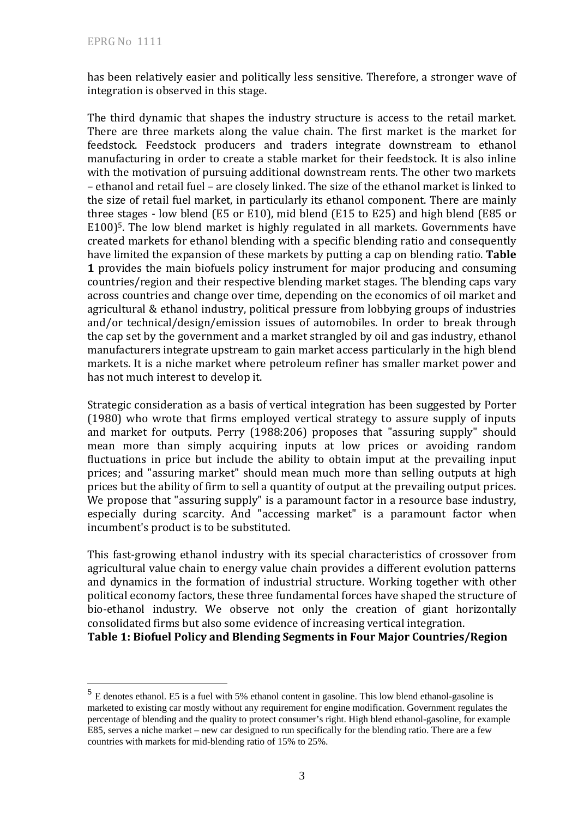$\overline{a}$ 

has been relatively easier and politically less sensitive. Therefore, a stronger wave of integration is observed in this stage.

The third dynamic that shapes the industry structure is access to the retail market. There are three markets along the value chain. The first market is the market for feedstock. Feedstock producers and traders integrate downstream to ethanol manufacturing in order to create a stable market for their feedstock. It is also inline with the motivation of pursuing additional downstream rents. The other two markets – ethanol and retail fuel – are closely linked. The size of the ethanol market is linked to the size of retail fuel market, in particularly its ethanol component. There are mainly three stages - low blend (E5 or E10), mid blend (E15 to E25) and high blend (E85 or E100)5. The low blend market is highly regulated in all markets. Governments have created markets for ethanol blending with a specific blending ratio and consequently have limited the expansion of these markets by putting a cap on blending ratio. **Table 1** provides the main biofuels policy instrument for major producing and consuming countries/region and their respective blending market stages. The blending caps vary across countries and change over time, depending on the economics of oil market and agricultural & ethanol industry, political pressure from lobbying groups of industries and/or technical/design/emission issues of automobiles. In order to break through the cap set by the government and a market strangled by oil and gas industry, ethanol manufacturers integrate upstream to gain market access particularly in the high blend markets. It is a niche market where petroleum refiner has smaller market power and has not much interest to develop it.

Strategic consideration as a basis of vertical integration has been suggested by Porter (1980) who wrote that firms employed vertical strategy to assure supply of inputs and market for outputs. Perry (1988:206) proposes that "assuring supply" should mean more than simply acquiring inputs at low prices or avoiding random fluctuations in price but include the ability to obtain imput at the prevailing input prices; and "assuring market" should mean much more than selling outputs at high prices but the ability of firm to sell a quantity of output at the prevailing output prices. We propose that "assuring supply" is a paramount factor in a resource base industry, especially during scarcity. And "accessing market" is a paramount factor when incumbent's product is to be substituted.

This fast-growing ethanol industry with its special characteristics of crossover from agricultural value chain to energy value chain provides a different evolution patterns and dynamics in the formation of industrial structure. Working together with other political economy factors, these three fundamental forces have shaped the structure of bio-ethanol industry. We observe not only the creation of giant horizontally consolidated firms but also some evidence of increasing vertical integration.

**Table 1: Biofuel Policy and Blending Segments in Four Major Countries/Region** 

<sup>&</sup>lt;sup>5</sup> E denotes ethanol. E5 is a fuel with 5% ethanol content in gasoline. This low blend ethanol-gasoline is marketed to existing car mostly without any requirement for engine modification. Government regulates the percentage of blending and the quality to protect consumer's right. High blend ethanol-gasoline, for example E85, serves a niche market – new car designed to run specifically for the blending ratio. There are a few countries with markets for mid-blending ratio of 15% to 25%.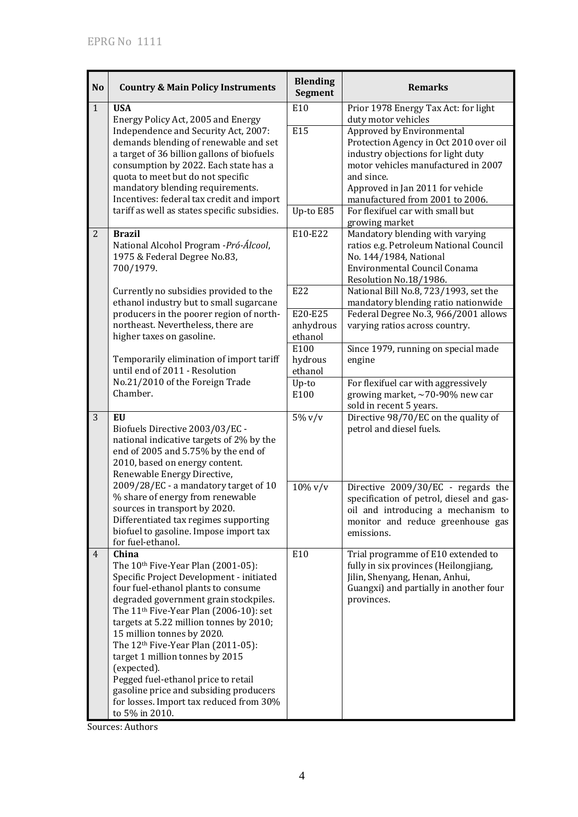| <b>No</b>      | <b>Country &amp; Main Policy Instruments</b>                                                                                                                                                                                                                                                                                                                                                                                                                                                                                                                         | <b>Blending</b><br>Segment                     | <b>Remarks</b>                                                                                                                                                                                                                                                                                       |  |
|----------------|----------------------------------------------------------------------------------------------------------------------------------------------------------------------------------------------------------------------------------------------------------------------------------------------------------------------------------------------------------------------------------------------------------------------------------------------------------------------------------------------------------------------------------------------------------------------|------------------------------------------------|------------------------------------------------------------------------------------------------------------------------------------------------------------------------------------------------------------------------------------------------------------------------------------------------------|--|
| $\mathbf{1}$   | <b>USA</b><br>Energy Policy Act, 2005 and Energy<br>Independence and Security Act, 2007:<br>demands blending of renewable and set<br>a target of 36 billion gallons of biofuels<br>consumption by 2022. Each state has a<br>quota to meet but do not specific<br>mandatory blending requirements.<br>Incentives: federal tax credit and import                                                                                                                                                                                                                       | E10<br><b>E15</b>                              | Prior 1978 Energy Tax Act: for light<br>duty motor vehicles<br>Approved by Environmental<br>Protection Agency in Oct 2010 over oil<br>industry objections for light duty<br>motor vehicles manufactured in 2007<br>and since.<br>Approved in Jan 2011 for vehicle<br>manufactured from 2001 to 2006. |  |
|                | tariff as well as states specific subsidies.                                                                                                                                                                                                                                                                                                                                                                                                                                                                                                                         | Up-to E85                                      | For flexifuel car with small but<br>growing market                                                                                                                                                                                                                                                   |  |
| $\overline{2}$ | <b>Brazil</b><br>National Alcohol Program - Pró-Álcool,<br>1975 & Federal Degree No.83,<br>700/1979.                                                                                                                                                                                                                                                                                                                                                                                                                                                                 | E10-E22                                        | Mandatory blending with varying<br>ratios e.g. Petroleum National Council<br>No. 144/1984, National<br>Environmental Council Conama<br>Resolution No.18/1986.                                                                                                                                        |  |
|                | Currently no subsidies provided to the<br>ethanol industry but to small sugarcane<br>producers in the poorer region of north-<br>northeast. Nevertheless, there are<br>higher taxes on gasoline.<br>Temporarily elimination of import tariff                                                                                                                                                                                                                                                                                                                         | E22<br>E20-E25<br>anhydrous<br>ethanol<br>E100 | National Bill No.8, 723/1993, set the<br>mandatory blending ratio nationwide<br>Federal Degree No.3, 966/2001 allows<br>varying ratios across country.<br>Since 1979, running on special made                                                                                                        |  |
|                | until end of 2011 - Resolution<br>No.21/2010 of the Foreign Trade<br>Chamber.                                                                                                                                                                                                                                                                                                                                                                                                                                                                                        | hydrous<br>ethanol<br>Up-to<br>E100            | engine<br>For flexifuel car with aggressively<br>growing market, $\sim$ 70-90% new car<br>sold in recent 5 years.                                                                                                                                                                                    |  |
| 3              | EU<br>Biofuels Directive 2003/03/EC -<br>national indicative targets of 2% by the<br>end of 2005 and 5.75% by the end of<br>2010, based on energy content.<br>Renewable Energy Directive,                                                                                                                                                                                                                                                                                                                                                                            | $5\%$ v/v                                      | Directive 98/70/EC on the quality of<br>petrol and diesel fuels.                                                                                                                                                                                                                                     |  |
|                | 2009/28/EC - a mandatory target of 10<br>% share of energy from renewable<br>sources in transport by 2020.<br>Differentiated tax regimes supporting<br>biofuel to gasoline. Impose import tax<br>for fuel-ethanol.                                                                                                                                                                                                                                                                                                                                                   | $10\%$ v/v                                     | Directive 2009/30/EC - regards the<br>specification of petrol, diesel and gas-<br>oil and introducing a mechanism to<br>monitor and reduce greenhouse gas<br>emissions.                                                                                                                              |  |
| 4              | China<br>The 10 <sup>th</sup> Five-Year Plan (2001-05):<br>Specific Project Development - initiated<br>four fuel-ethanol plants to consume<br>degraded government grain stockpiles.<br>The 11 <sup>th</sup> Five-Year Plan (2006-10): set<br>targets at 5.22 million tonnes by 2010;<br>15 million tonnes by 2020.<br>The 12 <sup>th</sup> Five-Year Plan (2011-05):<br>target 1 million tonnes by 2015<br>(expected).<br>Pegged fuel-ethanol price to retail<br>gasoline price and subsiding producers<br>for losses. Import tax reduced from 30%<br>to 5% in 2010. | E10                                            | Trial programme of E10 extended to<br>fully in six provinces (Heilongjiang,<br>Jilin, Shenyang, Henan, Anhui,<br>Guangxi) and partially in another four<br>provinces.                                                                                                                                |  |

Sources: Authors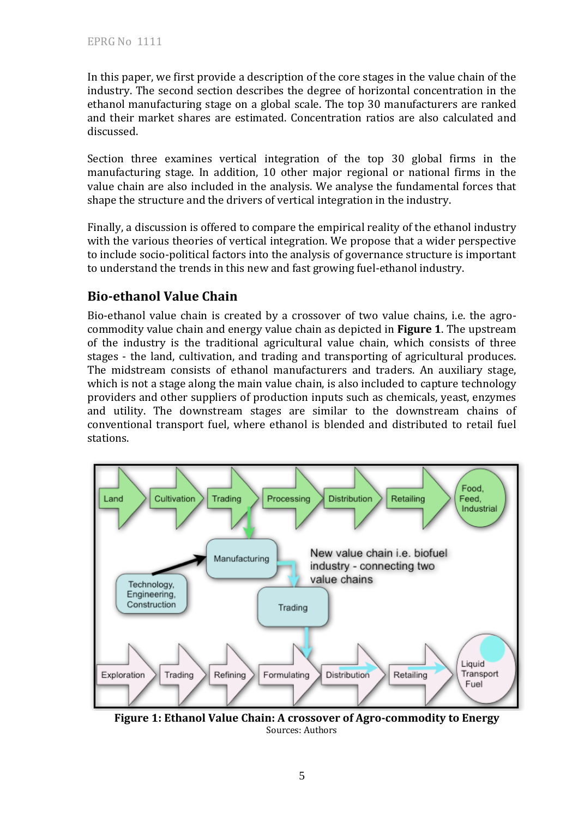In this paper, we first provide a description of the core stages in the value chain of the industry. The second section describes the degree of horizontal concentration in the ethanol manufacturing stage on a global scale. The top 30 manufacturers are ranked and their market shares are estimated. Concentration ratios are also calculated and discussed.

Section three examines vertical integration of the top 30 global firms in the manufacturing stage. In addition, 10 other major regional or national firms in the value chain are also included in the analysis. We analyse the fundamental forces that shape the structure and the drivers of vertical integration in the industry.

Finally, a discussion is offered to compare the empirical reality of the ethanol industry with the various theories of vertical integration. We propose that a wider perspective to include socio-political factors into the analysis of governance structure is important to understand the trends in this new and fast growing fuel-ethanol industry.

# **Bio-ethanol Value Chain**

Bio-ethanol value chain is created by a crossover of two value chains, i.e. the agrocommodity value chain and energy value chain as depicted in **Figure 1**. The upstream of the industry is the traditional agricultural value chain, which consists of three stages - the land, cultivation, and trading and transporting of agricultural produces. The midstream consists of ethanol manufacturers and traders. An auxiliary stage, which is not a stage along the main value chain, is also included to capture technology providers and other suppliers of production inputs such as chemicals, yeast, enzymes and utility. The downstream stages are similar to the downstream chains of conventional transport fuel, where ethanol is blended and distributed to retail fuel stations.



**Figure 1: Ethanol Value Chain: A crossover of Agro-commodity to Energy**  Sources: Authors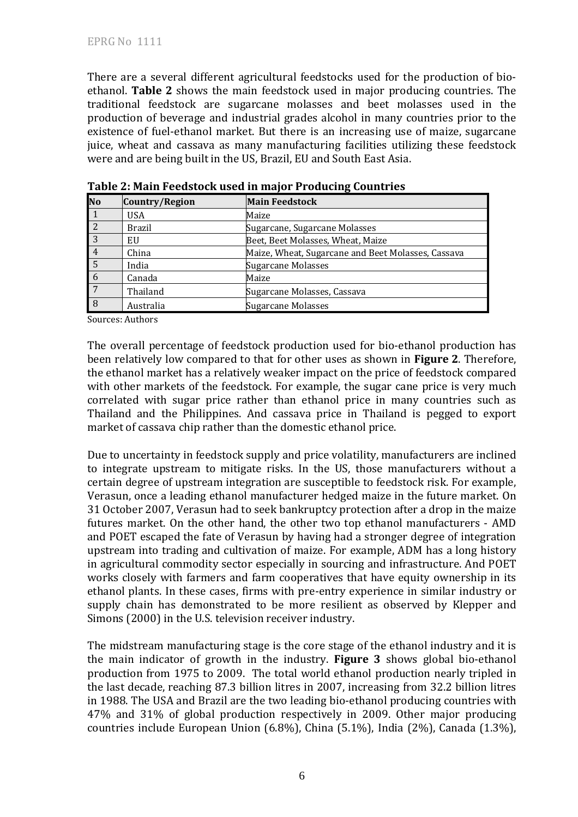There are a several different agricultural feedstocks used for the production of bioethanol. **Table 2** shows the main feedstock used in major producing countries. The traditional feedstock are sugarcane molasses and beet molasses used in the production of beverage and industrial grades alcohol in many countries prior to the existence of fuel-ethanol market. But there is an increasing use of maize, sugarcane juice, wheat and cassava as many manufacturing facilities utilizing these feedstock were and are being built in the US, Brazil, EU and South East Asia.

| No             | Country/Region | <b>Main Feedstock</b>                              |
|----------------|----------------|----------------------------------------------------|
| l 1            | <b>USA</b>     | Maize                                              |
| $\sqrt{2}$     | <b>Brazil</b>  | Sugarcane, Sugarcane Molasses                      |
| $\overline{3}$ | EU             | Beet, Beet Molasses, Wheat, Maize                  |
|                | China          | Maize, Wheat, Sugarcane and Beet Molasses, Cassava |
| $\overline{5}$ | India          | Sugarcane Molasses                                 |
| 6              | Canada         | Maize                                              |
| 7              | Thailand       | Sugarcane Molasses, Cassava                        |
| 8              | Australia      | Sugarcane Molasses                                 |

| Table 2: Main Feedstock used in major Producing Countries |  |  |
|-----------------------------------------------------------|--|--|
|                                                           |  |  |

Sources: Authors

The overall percentage of feedstock production used for bio-ethanol production has been relatively low compared to that for other uses as shown in **Figure 2**. Therefore, the ethanol market has a relatively weaker impact on the price of feedstock compared with other markets of the feedstock. For example, the sugar cane price is very much correlated with sugar price rather than ethanol price in many countries such as Thailand and the Philippines. And cassava price in Thailand is pegged to export market of cassava chip rather than the domestic ethanol price.

Due to uncertainty in feedstock supply and price volatility, manufacturers are inclined to integrate upstream to mitigate risks. In the US, those manufacturers without a certain degree of upstream integration are susceptible to feedstock risk. For example, Verasun, once a leading ethanol manufacturer hedged maize in the future market. On 31 October 2007, Verasun had to seek bankruptcy protection after a drop in the maize futures market. On the other hand, the other two top ethanol manufacturers - AMD and POET escaped the fate of Verasun by having had a stronger degree of integration upstream into trading and cultivation of maize. For example, ADM has a long history in agricultural commodity sector especially in sourcing and infrastructure. And POET works closely with farmers and farm cooperatives that have equity ownership in its ethanol plants. In these cases, firms with pre-entry experience in similar industry or supply chain has demonstrated to be more resilient as observed by Klepper and Simons (2000) in the U.S. television receiver industry.

The midstream manufacturing stage is the core stage of the ethanol industry and it is the main indicator of growth in the industry. **Figure 3** shows global bio-ethanol production from 1975 to 2009. The total world ethanol production nearly tripled in the last decade, reaching 87.3 billion litres in 2007, increasing from 32.2 billion litres in 1988. The USA and Brazil are the two leading bio-ethanol producing countries with 47% and 31% of global production respectively in 2009. Other major producing countries include European Union (6.8%), China (5.1%), India (2%), Canada (1.3%),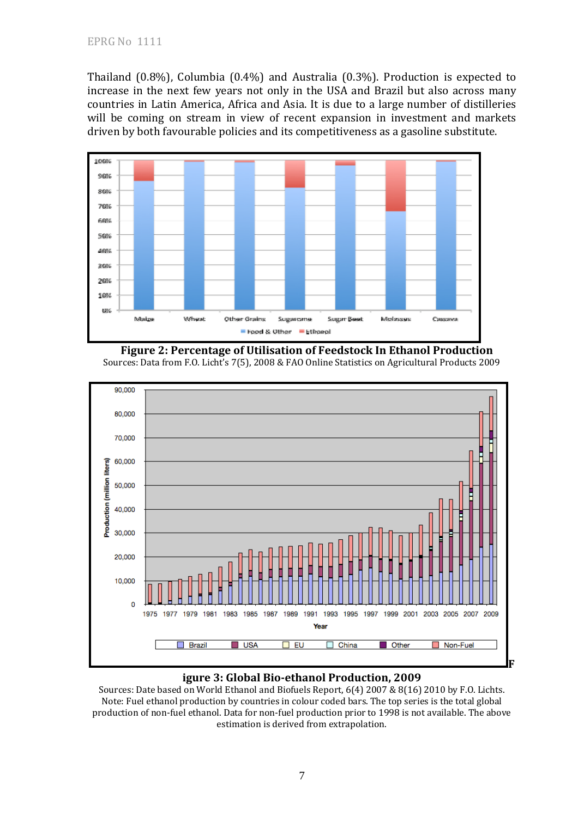Thailand (0.8%), Columbia (0.4%) and Australia (0.3%). Production is expected to increase in the next few years not only in the USA and Brazil but also across many countries in Latin America, Africa and Asia. It is due to a large number of distilleries will be coming on stream in view of recent expansion in investment and markets driven by both favourable policies and its competitiveness as a gasoline substitute.







### **igure 3: Global Bio-ethanol Production, 2009**

Sources: Date based on World Ethanol and Biofuels Report, 6(4) 2007 & 8(16) 2010 by F.O. Lichts. Note: Fuel ethanol production by countries in colour coded bars. The top series is the total global production of non-fuel ethanol. Data for non-fuel production prior to 1998 is not available. The above estimation is derived from extrapolation.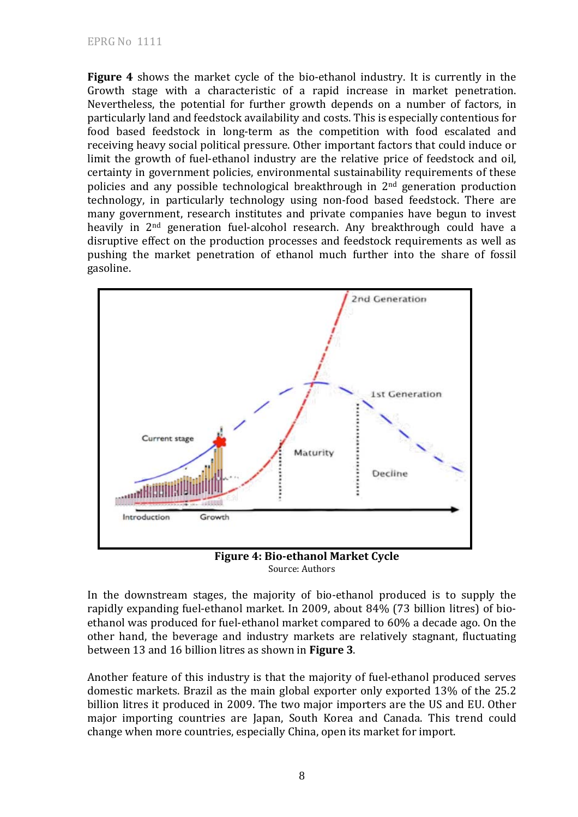**Figure 4** shows the market cycle of the bio-ethanol industry. It is currently in the Growth stage with a characteristic of a rapid increase in market penetration. Nevertheless, the potential for further growth depends on a number of factors, in particularly land and feedstock availability and costs. This is especially contentious for food based feedstock in long-term as the competition with food escalated and receiving heavy social political pressure. Other important factors that could induce or limit the growth of fuel-ethanol industry are the relative price of feedstock and oil, certainty in government policies, environmental sustainability requirements of these policies and any possible technological breakthrough in 2nd generation production technology, in particularly technology using non-food based feedstock. There are many government, research institutes and private companies have begun to invest heavily in 2nd generation fuel-alcohol research. Any breakthrough could have a disruptive effect on the production processes and feedstock requirements as well as pushing the market penetration of ethanol much further into the share of fossil gasoline.



**Figure 4: Bio-ethanol Market Cycle**  Source: Authors

In the downstream stages, the majority of bio-ethanol produced is to supply the rapidly expanding fuel-ethanol market. In 2009, about 84% (73 billion litres) of bioethanol was produced for fuel-ethanol market compared to 60% a decade ago. On the other hand, the beverage and industry markets are relatively stagnant, fluctuating between 13 and 16 billion litres as shown in **Figure 3**.

Another feature of this industry is that the majority of fuel-ethanol produced serves domestic markets. Brazil as the main global exporter only exported 13% of the 25.2 billion litres it produced in 2009. The two major importers are the US and EU. Other major importing countries are Japan, South Korea and Canada. This trend could change when more countries, especially China, open its market for import.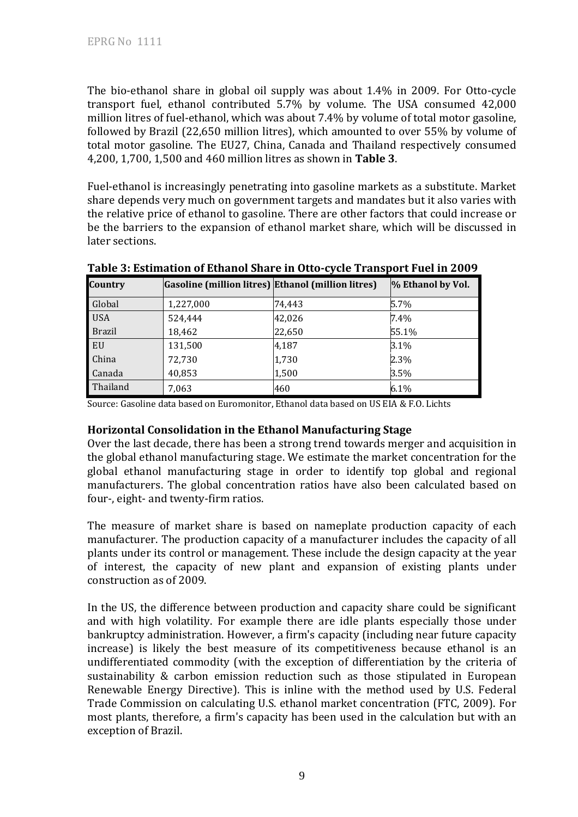The bio-ethanol share in global oil supply was about 1.4% in 2009. For Otto-cycle transport fuel, ethanol contributed 5.7% by volume. The USA consumed 42,000 million litres of fuel-ethanol, which was about 7.4% by volume of total motor gasoline, followed by Brazil (22,650 million litres), which amounted to over 55% by volume of total motor gasoline. The EU27, China, Canada and Thailand respectively consumed 4,200, 1,700, 1,500 and 460 million litres as shown in **Table 3**.

Fuel-ethanol is increasingly penetrating into gasoline markets as a substitute. Market share depends very much on government targets and mandates but it also varies with the relative price of ethanol to gasoline. There are other factors that could increase or be the barriers to the expansion of ethanol market share, which will be discussed in later sections.

| Country       | Gasoline (million litres) Ethanol (million litres) |        | % Ethanol by Vol. |
|---------------|----------------------------------------------------|--------|-------------------|
| Global        | 1,227,000                                          | 74,443 | $5.7\%$           |
| <b>USA</b>    | 524,444                                            | 42,026 | $7.4\%$           |
| <b>Brazil</b> | 18,462                                             | 22,650 | 55.1%             |
| <b>EU</b>     | 131,500                                            | 4,187  | 3.1%              |
| <b>China</b>  | 72,730                                             | 1,730  | 2.3%              |
| <b>Canada</b> | 40,853                                             | 1,500  | 3.5%              |
| Thailand      | 7,063                                              | 460    | 6.1%              |

**Table 3: Estimation of Ethanol Share in Otto-cycle Transport Fuel in 2009** 

Source: Gasoline data based on Euromonitor, Ethanol data based on US EIA & F.O. Lichts

#### **Horizontal Consolidation in the Ethanol Manufacturing Stage**

Over the last decade, there has been a strong trend towards merger and acquisition in the global ethanol manufacturing stage. We estimate the market concentration for the global ethanol manufacturing stage in order to identify top global and regional manufacturers. The global concentration ratios have also been calculated based on four-, eight- and twenty-firm ratios.

The measure of market share is based on nameplate production capacity of each manufacturer. The production capacity of a manufacturer includes the capacity of all plants under its control or management. These include the design capacity at the year of interest, the capacity of new plant and expansion of existing plants under construction as of 2009.

In the US, the difference between production and capacity share could be significant and with high volatility. For example there are idle plants especially those under bankruptcy administration. However, a firm's capacity (including near future capacity increase) is likely the best measure of its competitiveness because ethanol is an undifferentiated commodity (with the exception of differentiation by the criteria of sustainability & carbon emission reduction such as those stipulated in European Renewable Energy Directive). This is inline with the method used by U.S. Federal Trade Commission on calculating U.S. ethanol market concentration (FTC, 2009). For most plants, therefore, a firm's capacity has been used in the calculation but with an exception of Brazil.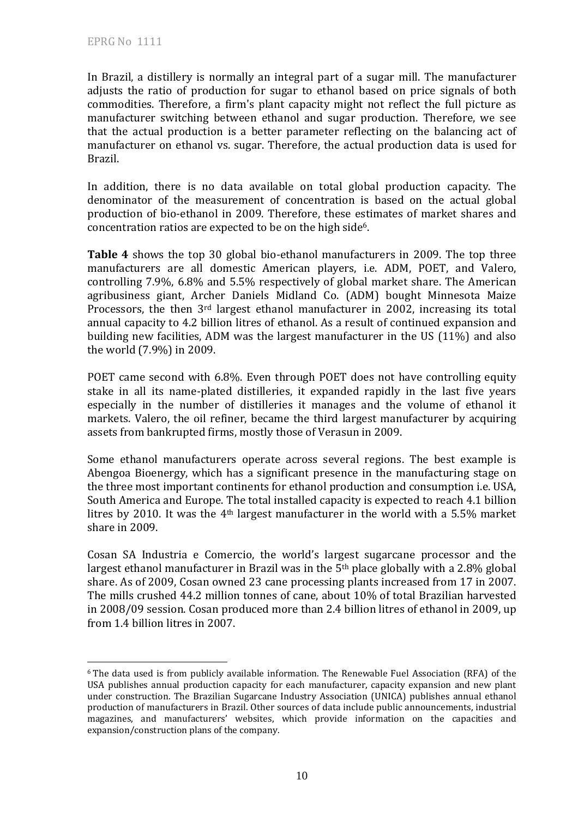$\overline{a}$ 

In Brazil, a distillery is normally an integral part of a sugar mill. The manufacturer adjusts the ratio of production for sugar to ethanol based on price signals of both commodities. Therefore, a firm's plant capacity might not reflect the full picture as manufacturer switching between ethanol and sugar production. Therefore, we see that the actual production is a better parameter reflecting on the balancing act of manufacturer on ethanol vs. sugar. Therefore, the actual production data is used for Brazil.

In addition, there is no data available on total global production capacity. The denominator of the measurement of concentration is based on the actual global production of bio-ethanol in 2009. Therefore, these estimates of market shares and concentration ratios are expected to be on the high side6.

**Table 4** shows the top 30 global bio-ethanol manufacturers in 2009. The top three manufacturers are all domestic American players, i.e. ADM, POET, and Valero, controlling 7.9%, 6.8% and 5.5% respectively of global market share. The American agribusiness giant, Archer Daniels Midland Co. (ADM) bought Minnesota Maize Processors, the then 3rd largest ethanol manufacturer in 2002, increasing its total annual capacity to 4.2 billion litres of ethanol. As a result of continued expansion and building new facilities, ADM was the largest manufacturer in the US (11%) and also the world (7.9%) in 2009.

POET came second with 6.8%. Even through POET does not have controlling equity stake in all its name-plated distilleries, it expanded rapidly in the last five years especially in the number of distilleries it manages and the volume of ethanol it markets. Valero, the oil refiner, became the third largest manufacturer by acquiring assets from bankrupted firms, mostly those of Verasun in 2009.

Some ethanol manufacturers operate across several regions. The best example is Abengoa Bioenergy, which has a significant presence in the manufacturing stage on the three most important continents for ethanol production and consumption i.e. USA, South America and Europe. The total installed capacity is expected to reach 4.1 billion litres by 2010. It was the 4th largest manufacturer in the world with a 5.5% market share in 2009.

Cosan SA Industria e Comercio, the world's largest sugarcane processor and the largest ethanol manufacturer in Brazil was in the 5th place globally with a 2.8% global share. As of 2009, Cosan owned 23 cane processing plants increased from 17 in 2007. The mills crushed 44.2 million tonnes of cane, about 10% of total Brazilian harvested in 2008/09 session. Cosan produced more than 2.4 billion litres of ethanol in 2009, up from 1.4 billion litres in 2007.

<sup>6</sup> The data used is from publicly available information. The Renewable Fuel Association (RFA) of the USA publishes annual production capacity for each manufacturer, capacity expansion and new plant under construction. The Brazilian Sugarcane Industry Association (UNICA) publishes annual ethanol production of manufacturers in Brazil. Other sources of data include public announcements, industrial magazines, and manufacturers' websites, which provide information on the capacities and expansion/construction plans of the company.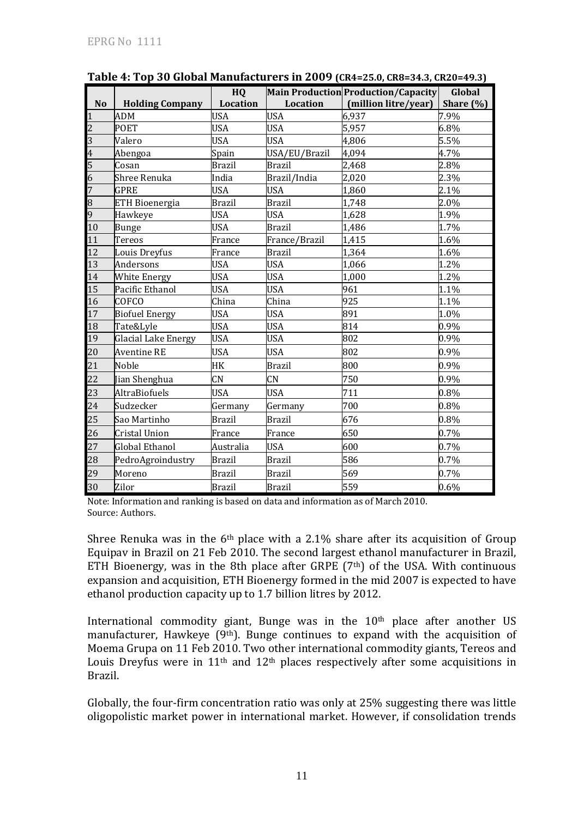|                 |                        | HQ              |               | Main Production Production/Capacity | Global       |
|-----------------|------------------------|-----------------|---------------|-------------------------------------|--------------|
| <b>No</b>       | <b>Holding Company</b> | <b>Location</b> | Location      | (million litre/year)                | Share $(\%)$ |
| $\mathbf{1}$    | ADM                    | <b>USA</b>      | <b>USA</b>    | 6.937                               | 7.9%         |
| $\overline{2}$  | POET                   | <b>USA</b>      | <b>USA</b>    | 5,957                               | 6.8%         |
| $\overline{3}$  | Valero                 | <b>USA</b>      | <b>USA</b>    | 4,806                               | 5.5%         |
| $\overline{4}$  | Abengoa                | Spain           | USA/EU/Brazil | 4,094                               | 4.7%         |
| $\frac{5}{6}$   | Cosan                  | <b>Brazil</b>   | <b>Brazil</b> | 2,468                               | 2.8%         |
|                 | Shree Renuka           | India           | Brazil/India  | 2,020                               | 2.3%         |
| $\overline{7}$  | <b>GPRE</b>            | <b>USA</b>      | <b>USA</b>    | 1,860                               | 2.1%         |
| $\overline{8}$  | <b>ETH Bioenergia</b>  | <b>Brazil</b>   | <b>Brazil</b> | 1,748                               | 2.0%         |
| 9               | Hawkeye                | <b>USA</b>      | <b>USA</b>    | 1,628                               | 1.9%         |
| 10              | Bunge                  | <b>USA</b>      | <b>Brazil</b> | 1,486                               | 1.7%         |
| 11              | Tereos                 | France          | France/Brazil | 1,415                               | 1.6%         |
| 12              | Louis Dreyfus          | France          | <b>Brazil</b> | 1,364                               | 1.6%         |
| 13              | Andersons              | <b>USA</b>      | <b>USA</b>    | 1,066                               | 1.2%         |
| 14              | <b>White Energy</b>    | <b>USA</b>      | <b>USA</b>    | 1,000                               | 1.2%         |
| $\overline{15}$ | Pacific Ethanol        | <b>USA</b>      | <b>USA</b>    | 961                                 | 1.1%         |
| 16              | <b>COFCO</b>           | China           | China         | 925                                 | 1.1%         |
| 17              | <b>Biofuel Energy</b>  | <b>USA</b>      | <b>USA</b>    | 891                                 | 1.0%         |
| 18              | Tate&Lyle              | <b>USA</b>      | <b>USA</b>    | 814                                 | 0.9%         |
| 19              | Glacial Lake Energy    | <b>USA</b>      | <b>USA</b>    | 802                                 | 0.9%         |
| 20              | <b>Aventine RE</b>     | <b>USA</b>      | <b>USA</b>    | 802                                 | 0.9%         |
| 21              | Noble                  | HK              | <b>Brazil</b> | 800                                 | 0.9%         |
| 22              | Jian Shenghua          | CN              | CN            | 750                                 | 0.9%         |
| 23              | <b>AltraBiofuels</b>   | <b>USA</b>      | <b>USA</b>    | 711                                 | 0.8%         |
| 24              | Sudzecker              | Germany         | Germany       | 700                                 | 0.8%         |
| 25              | Sao Martinho           | <b>Brazil</b>   | <b>Brazil</b> | 676                                 | 0.8%         |
| 26              | Cristal Union          | France          | France        | 650                                 | 0.7%         |
| 27              | <b>Global Ethanol</b>  | Australia       | <b>USA</b>    | 600                                 | 0.7%         |
| 28              | PedroAgroindustry      | <b>Brazil</b>   | <b>Brazil</b> | 586                                 | 0.7%         |
| 29              | Moreno                 | <b>Brazil</b>   | <b>Brazil</b> | 569                                 | 0.7%         |
| 30              | Zilor                  | <b>Brazil</b>   | <b>Brazil</b> | 559                                 | 0.6%         |

**Table 4: Top 30 Global Manufacturers in 2009 (CR4=25.0, CR8=34.3, CR20=49.3)**

Note: Information and ranking is based on data and information as of March 2010. Source: Authors.

Shree Renuka was in the  $6<sup>th</sup>$  place with a 2.1% share after its acquisition of Group Equipav in Brazil on 21 Feb 2010. The second largest ethanol manufacturer in Brazil, ETH Bioenergy, was in the 8th place after GRPE  $(7<sup>th</sup>)$  of the USA. With continuous expansion and acquisition, ETH Bioenergy formed in the mid 2007 is expected to have ethanol production capacity up to 1.7 billion litres by 2012.

International commodity giant, Bunge was in the 10<sup>th</sup> place after another US manufacturer, Hawkeye (9<sup>th</sup>). Bunge continues to expand with the acquisition of Moema Grupa on 11 Feb 2010. Two other international commodity giants, Tereos and Louis Dreyfus were in  $11<sup>th</sup>$  and  $12<sup>th</sup>$  places respectively after some acquisitions in Brazil.

Globally, the four-firm concentration ratio was only at 25% suggesting there was little oligopolistic market power in international market. However, if consolidation trends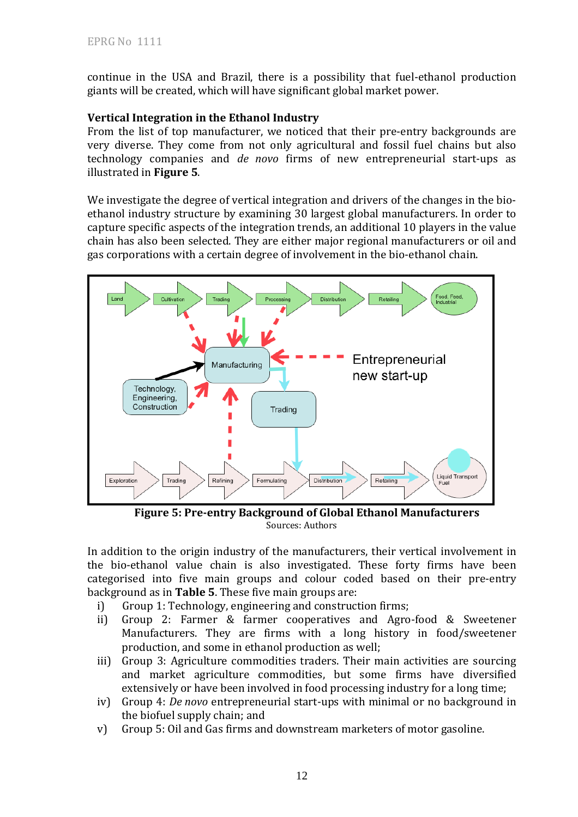continue in the USA and Brazil, there is a possibility that fuel-ethanol production giants will be created, which will have significant global market power.

#### **Vertical Integration in the Ethanol Industry**

From the list of top manufacturer, we noticed that their pre-entry backgrounds are very diverse. They come from not only agricultural and fossil fuel chains but also technology companies and *de novo* firms of new entrepreneurial start-ups as illustrated in **Figure 5**.

We investigate the degree of vertical integration and drivers of the changes in the bioethanol industry structure by examining 30 largest global manufacturers. In order to capture specific aspects of the integration trends, an additional 10 players in the value chain has also been selected. They are either major regional manufacturers or oil and gas corporations with a certain degree of involvement in the bio-ethanol chain.



**Figure 5: Pre-entry Background of Global Ethanol Manufacturers**  Sources: Authors

In addition to the origin industry of the manufacturers, their vertical involvement in the bio-ethanol value chain is also investigated. These forty firms have been categorised into five main groups and colour coded based on their pre-entry background as in **Table 5**. These five main groups are:

- i) Group 1: Technology, engineering and construction firms;
- ii) Group 2: Farmer & farmer cooperatives and Agro-food & Sweetener Manufacturers. They are firms with a long history in food/sweetener production, and some in ethanol production as well;
- iii) Group 3: Agriculture commodities traders. Their main activities are sourcing and market agriculture commodities, but some firms have diversified extensively or have been involved in food processing industry for a long time;
- iv) Group 4: *De novo* entrepreneurial start-ups with minimal or no background in the biofuel supply chain; and
- v) Group 5: Oil and Gas firms and downstream marketers of motor gasoline.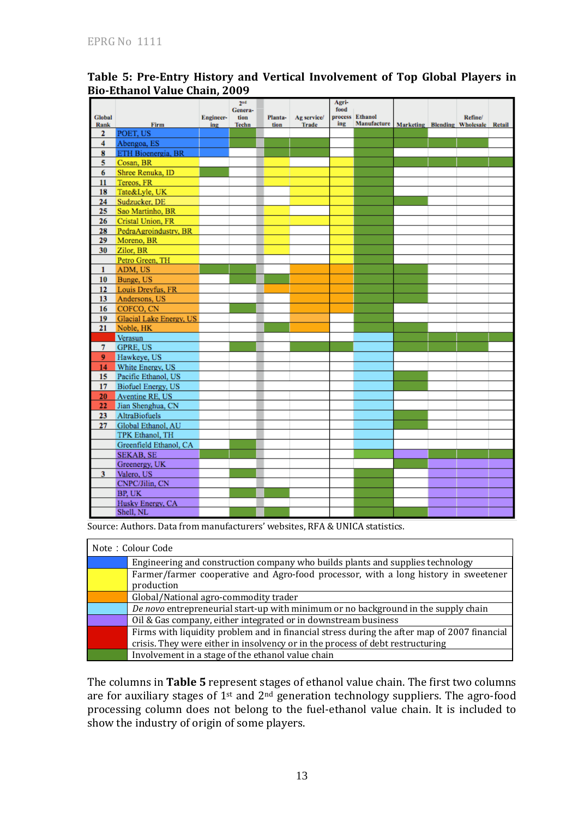|                      |                           |           | 2 <sup>nd</sup><br>Genera- |                 |                             | Agri-<br>food |                                |                                     |         |  |
|----------------------|---------------------------|-----------|----------------------------|-----------------|-----------------------------|---------------|--------------------------------|-------------------------------------|---------|--|
| Global               | Firm                      | Engineer- | tion                       | Planta-<br>tion | Ag service/<br><b>Trade</b> | ing           | process Ethanol<br>Manufacture | Marketing Blending Wholesale Retail | Refine/ |  |
| Rank<br>$\mathbf{z}$ | POET, US                  | ing       | Techn                      |                 |                             |               |                                |                                     |         |  |
| 4                    | Abengoa, ES               |           |                            |                 |                             |               |                                |                                     |         |  |
| 8                    | ETH Bioenergia, BR        |           |                            |                 |                             |               |                                |                                     |         |  |
| 5                    | Cosan, BR                 |           |                            |                 |                             |               |                                |                                     |         |  |
| 6                    | Shree Renuka, ID          |           |                            |                 |                             |               |                                |                                     |         |  |
| 11                   | Tereos, FR                |           |                            |                 |                             |               |                                |                                     |         |  |
| 18                   | Tate&Lyle, UK             |           |                            |                 |                             |               |                                |                                     |         |  |
| 24                   | Sudzucker, DE             |           |                            |                 |                             |               |                                |                                     |         |  |
| 25                   | Sao Martinho, BR          |           |                            |                 |                             |               |                                |                                     |         |  |
| 26                   | Cristal Union, FR         |           |                            |                 |                             |               |                                |                                     |         |  |
| 28                   | PedraAgroindustry, BR     |           |                            |                 |                             |               |                                |                                     |         |  |
| 29                   | Moreno, BR                |           |                            |                 |                             |               |                                |                                     |         |  |
| 30                   | Zilor, BR                 |           |                            |                 |                             |               |                                |                                     |         |  |
|                      | Petro Green, TH           |           |                            |                 |                             |               |                                |                                     |         |  |
| $\mathbf{1}$         | ADM, US                   |           |                            |                 |                             |               |                                |                                     |         |  |
| 10 <sub>1</sub>      | Bunge, US                 |           |                            |                 |                             |               |                                |                                     |         |  |
|                      | 12 Louis Dreyfus, FR      |           |                            |                 |                             |               |                                |                                     |         |  |
| 13                   | Andersons, US             |           |                            |                 |                             |               |                                |                                     |         |  |
| 16                   | COFCO, CN                 |           |                            |                 |                             |               |                                |                                     |         |  |
| 19                   | Glacial Lake Energy, US   |           |                            |                 |                             |               |                                |                                     |         |  |
| 21                   | Noble, HK                 |           |                            |                 |                             |               |                                |                                     |         |  |
|                      | Verasun                   |           |                            |                 |                             |               |                                |                                     |         |  |
| $\tau$               | <b>GPRE, US</b>           |           |                            |                 |                             |               |                                |                                     |         |  |
| 9                    | Hawkeye, US               |           |                            |                 |                             |               |                                |                                     |         |  |
| 14                   | White Energy, US          |           |                            |                 |                             |               |                                |                                     |         |  |
| 15                   | Pacific Ethanol, US       |           |                            |                 |                             |               |                                |                                     |         |  |
| 17                   | <b>Biofuel Energy, US</b> |           |                            |                 |                             |               |                                |                                     |         |  |
| 20                   | Aventine RE, US           |           |                            |                 |                             |               |                                |                                     |         |  |
| 22                   | Jian Shenghua, CN         |           |                            |                 |                             |               |                                |                                     |         |  |
| 23                   | AltraBiofuels             |           |                            |                 |                             |               |                                |                                     |         |  |
| 27                   | Global Ethanol, AU        |           |                            |                 |                             |               |                                |                                     |         |  |
|                      | TPK Ethanol, TH           |           |                            |                 |                             |               |                                |                                     |         |  |
|                      | Greenfield Ethanol, CA    |           |                            |                 |                             |               |                                |                                     |         |  |
|                      | <b>SEKAB, SE</b>          |           |                            |                 |                             |               |                                |                                     |         |  |
|                      | Greenergy, UK             |           |                            |                 |                             |               |                                |                                     |         |  |
|                      | 3 Valero, US              |           |                            |                 |                             |               |                                |                                     |         |  |
|                      | CNPC/Jilin, CN            |           |                            |                 |                             |               |                                |                                     |         |  |
|                      | BP. UK                    |           |                            |                 |                             |               |                                |                                     |         |  |
|                      | Husky Energy, CA          |           |                            |                 |                             |               |                                |                                     |         |  |
|                      | Shell, NL                 |           |                            |                 |                             |               |                                |                                     |         |  |

## **Table 5: Pre-Entry History and Vertical Involvement of Top Global Players in Bio-Ethanol Value Chain, 2009**

Source: Authors. Data from manufacturers' websites, RFA & UNICA statistics.

| Note: Colour Code                                                                           |  |  |  |  |  |
|---------------------------------------------------------------------------------------------|--|--|--|--|--|
| Engineering and construction company who builds plants and supplies technology              |  |  |  |  |  |
| Farmer/farmer cooperative and Agro-food processor, with a long history in sweetener         |  |  |  |  |  |
| production                                                                                  |  |  |  |  |  |
| Global/National agro-commodity trader                                                       |  |  |  |  |  |
| De novo entrepreneurial start-up with minimum or no background in the supply chain          |  |  |  |  |  |
| Oil & Gas company, either integrated or in downstream business                              |  |  |  |  |  |
| Firms with liquidity problem and in financial stress during the after map of 2007 financial |  |  |  |  |  |
| crisis. They were either in insolvency or in the process of debt restructuring              |  |  |  |  |  |
| Involvement in a stage of the ethanol value chain                                           |  |  |  |  |  |

The columns in **Table 5** represent stages of ethanol value chain. The first two columns are for auxiliary stages of  $1<sup>st</sup>$  and  $2<sup>nd</sup>$  generation technology suppliers. The agro-food processing column does not belong to the fuel-ethanol value chain. It is included to show the industry of origin of some players.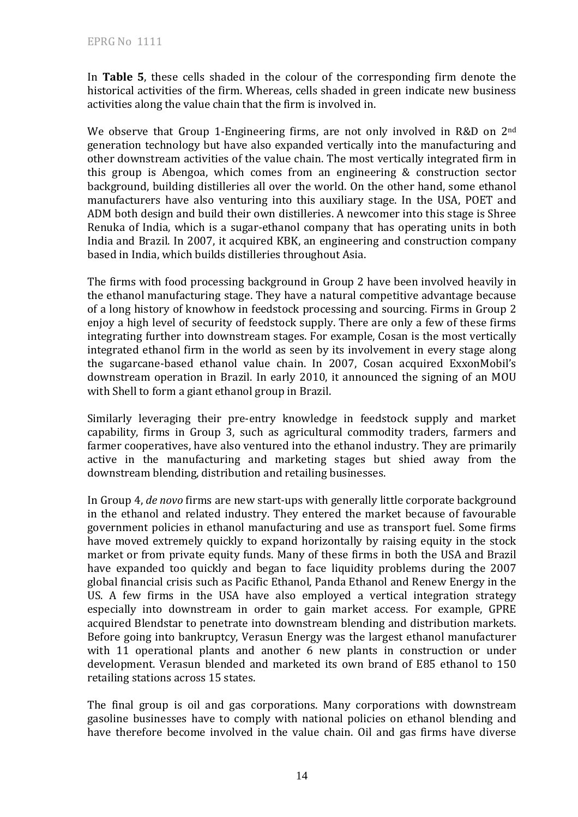In **Table 5**, these cells shaded in the colour of the corresponding firm denote the historical activities of the firm. Whereas, cells shaded in green indicate new business activities along the value chain that the firm is involved in.

We observe that Group 1-Engineering firms, are not only involved in R&D on 2<sup>nd</sup> generation technology but have also expanded vertically into the manufacturing and other downstream activities of the value chain. The most vertically integrated firm in this group is Abengoa, which comes from an engineering & construction sector background, building distilleries all over the world. On the other hand, some ethanol manufacturers have also venturing into this auxiliary stage. In the USA, POET and ADM both design and build their own distilleries. A newcomer into this stage is Shree Renuka of India, which is a sugar-ethanol company that has operating units in both India and Brazil. In 2007, it acquired KBK, an engineering and construction company based in India, which builds distilleries throughout Asia.

The firms with food processing background in Group 2 have been involved heavily in the ethanol manufacturing stage. They have a natural competitive advantage because of a long history of knowhow in feedstock processing and sourcing. Firms in Group 2 enjoy a high level of security of feedstock supply. There are only a few of these firms integrating further into downstream stages. For example, Cosan is the most vertically integrated ethanol firm in the world as seen by its involvement in every stage along the sugarcane-based ethanol value chain. In 2007, Cosan acquired ExxonMobil's downstream operation in Brazil. In early 2010, it announced the signing of an MOU with Shell to form a giant ethanol group in Brazil.

Similarly leveraging their pre-entry knowledge in feedstock supply and market capability, firms in Group 3, such as agricultural commodity traders, farmers and farmer cooperatives, have also ventured into the ethanol industry. They are primarily active in the manufacturing and marketing stages but shied away from the downstream blending, distribution and retailing businesses.

In Group 4, *de novo* firms are new start-ups with generally little corporate background in the ethanol and related industry. They entered the market because of favourable government policies in ethanol manufacturing and use as transport fuel. Some firms have moved extremely quickly to expand horizontally by raising equity in the stock market or from private equity funds. Many of these firms in both the USA and Brazil have expanded too quickly and began to face liquidity problems during the 2007 global financial crisis such as Pacific Ethanol, Panda Ethanol and Renew Energy in the US. A few firms in the USA have also employed a vertical integration strategy especially into downstream in order to gain market access. For example, GPRE acquired Blendstar to penetrate into downstream blending and distribution markets. Before going into bankruptcy, Verasun Energy was the largest ethanol manufacturer with 11 operational plants and another 6 new plants in construction or under development. Verasun blended and marketed its own brand of E85 ethanol to 150 retailing stations across 15 states.

The final group is oil and gas corporations. Many corporations with downstream gasoline businesses have to comply with national policies on ethanol blending and have therefore become involved in the value chain. Oil and gas firms have diverse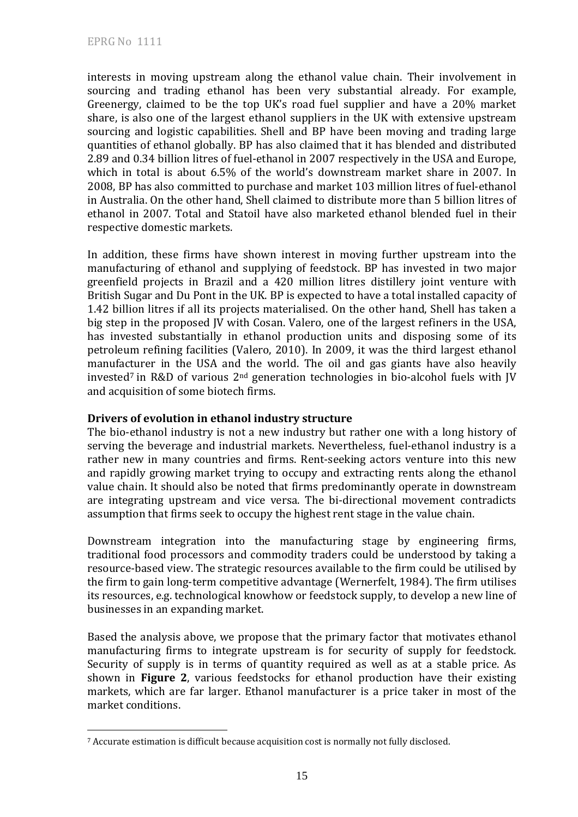interests in moving upstream along the ethanol value chain. Their involvement in sourcing and trading ethanol has been very substantial already. For example, Greenergy, claimed to be the top UK's road fuel supplier and have a 20% market share, is also one of the largest ethanol suppliers in the UK with extensive upstream sourcing and logistic capabilities. Shell and BP have been moving and trading large quantities of ethanol globally. BP has also claimed that it has blended and distributed 2.89 and 0.34 billion litres of fuel-ethanol in 2007 respectively in the USA and Europe, which in total is about 6.5% of the world's downstream market share in 2007. In 2008, BP has also committed to purchase and market 103 million litres of fuel-ethanol in Australia. On the other hand, Shell claimed to distribute more than 5 billion litres of ethanol in 2007. Total and Statoil have also marketed ethanol blended fuel in their respective domestic markets.

In addition, these firms have shown interest in moving further upstream into the manufacturing of ethanol and supplying of feedstock. BP has invested in two major greenfield projects in Brazil and a 420 million litres distillery joint venture with British Sugar and Du Pont in the UK. BP is expected to have a total installed capacity of 1.42 billion litres if all its projects materialised. On the other hand, Shell has taken a big step in the proposed JV with Cosan. Valero, one of the largest refiners in the USA, has invested substantially in ethanol production units and disposing some of its petroleum refining facilities (Valero, 2010). In 2009, it was the third largest ethanol manufacturer in the USA and the world. The oil and gas giants have also heavily invested<sup>7</sup> in R&D of various  $2<sup>nd</sup>$  generation technologies in bio-alcohol fuels with JV and acquisition of some biotech firms.

### **Drivers of evolution in ethanol industry structure**

The bio-ethanol industry is not a new industry but rather one with a long history of serving the beverage and industrial markets. Nevertheless, fuel-ethanol industry is a rather new in many countries and firms. Rent-seeking actors venture into this new and rapidly growing market trying to occupy and extracting rents along the ethanol value chain. It should also be noted that firms predominantly operate in downstream are integrating upstream and vice versa. The bi-directional movement contradicts assumption that firms seek to occupy the highest rent stage in the value chain.

Downstream integration into the manufacturing stage by engineering firms, traditional food processors and commodity traders could be understood by taking a resource-based view. The strategic resources available to the firm could be utilised by the firm to gain long-term competitive advantage (Wernerfelt, 1984). The firm utilises its resources, e.g. technological knowhow or feedstock supply, to develop a new line of businesses in an expanding market.

Based the analysis above, we propose that the primary factor that motivates ethanol manufacturing firms to integrate upstream is for security of supply for feedstock. Security of supply is in terms of quantity required as well as at a stable price. As shown in **Figure 2**, various feedstocks for ethanol production have their existing markets, which are far larger. Ethanol manufacturer is a price taker in most of the market conditions.

 $\overline{a}$ 7 Accurate estimation is difficult because acquisition cost is normally not fully disclosed.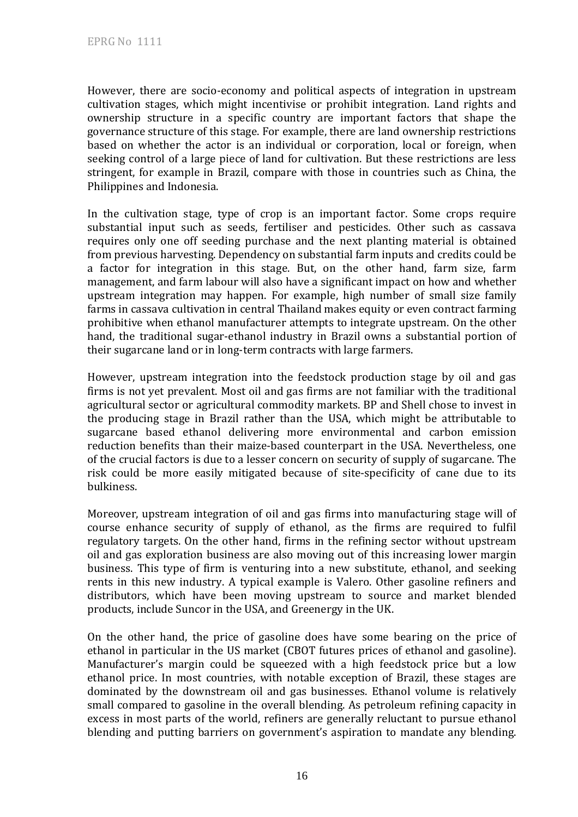However, there are socio-economy and political aspects of integration in upstream cultivation stages, which might incentivise or prohibit integration. Land rights and ownership structure in a specific country are important factors that shape the governance structure of this stage. For example, there are land ownership restrictions based on whether the actor is an individual or corporation, local or foreign, when seeking control of a large piece of land for cultivation. But these restrictions are less stringent, for example in Brazil, compare with those in countries such as China, the Philippines and Indonesia.

In the cultivation stage, type of crop is an important factor. Some crops require substantial input such as seeds, fertiliser and pesticides. Other such as cassava requires only one off seeding purchase and the next planting material is obtained from previous harvesting. Dependency on substantial farm inputs and credits could be a factor for integration in this stage. But, on the other hand, farm size, farm management, and farm labour will also have a significant impact on how and whether upstream integration may happen. For example, high number of small size family farms in cassava cultivation in central Thailand makes equity or even contract farming prohibitive when ethanol manufacturer attempts to integrate upstream. On the other hand, the traditional sugar-ethanol industry in Brazil owns a substantial portion of their sugarcane land or in long-term contracts with large farmers.

However, upstream integration into the feedstock production stage by oil and gas firms is not yet prevalent. Most oil and gas firms are not familiar with the traditional agricultural sector or agricultural commodity markets. BP and Shell chose to invest in the producing stage in Brazil rather than the USA, which might be attributable to sugarcane based ethanol delivering more environmental and carbon emission reduction benefits than their maize-based counterpart in the USA. Nevertheless, one of the crucial factors is due to a lesser concern on security of supply of sugarcane. The risk could be more easily mitigated because of site-specificity of cane due to its bulkiness.

Moreover, upstream integration of oil and gas firms into manufacturing stage will of course enhance security of supply of ethanol, as the firms are required to fulfil regulatory targets. On the other hand, firms in the refining sector without upstream oil and gas exploration business are also moving out of this increasing lower margin business. This type of firm is venturing into a new substitute, ethanol, and seeking rents in this new industry. A typical example is Valero. Other gasoline refiners and distributors, which have been moving upstream to source and market blended products, include Suncor in the USA, and Greenergy in the UK.

On the other hand, the price of gasoline does have some bearing on the price of ethanol in particular in the US market (CBOT futures prices of ethanol and gasoline). Manufacturer's margin could be squeezed with a high feedstock price but a low ethanol price. In most countries, with notable exception of Brazil, these stages are dominated by the downstream oil and gas businesses. Ethanol volume is relatively small compared to gasoline in the overall blending. As petroleum refining capacity in excess in most parts of the world, refiners are generally reluctant to pursue ethanol blending and putting barriers on government's aspiration to mandate any blending.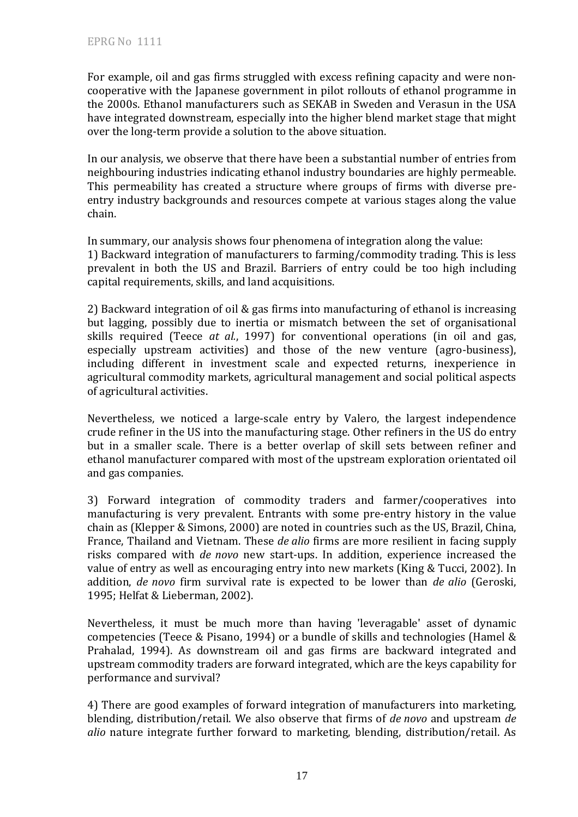For example, oil and gas firms struggled with excess refining capacity and were noncooperative with the Japanese government in pilot rollouts of ethanol programme in the 2000s. Ethanol manufacturers such as SEKAB in Sweden and Verasun in the USA have integrated downstream, especially into the higher blend market stage that might over the long-term provide a solution to the above situation.

In our analysis, we observe that there have been a substantial number of entries from neighbouring industries indicating ethanol industry boundaries are highly permeable. This permeability has created a structure where groups of firms with diverse preentry industry backgrounds and resources compete at various stages along the value chain.

In summary, our analysis shows four phenomena of integration along the value: 1) Backward integration of manufacturers to farming/commodity trading. This is less prevalent in both the US and Brazil. Barriers of entry could be too high including capital requirements, skills, and land acquisitions.

2) Backward integration of oil & gas firms into manufacturing of ethanol is increasing but lagging, possibly due to inertia or mismatch between the set of organisational skills required (Teece *at al.*, 1997) for conventional operations (in oil and gas, especially upstream activities) and those of the new venture (agro-business), including different in investment scale and expected returns, inexperience in agricultural commodity markets, agricultural management and social political aspects of agricultural activities.

Nevertheless, we noticed a large-scale entry by Valero, the largest independence crude refiner in the US into the manufacturing stage. Other refiners in the US do entry but in a smaller scale. There is a better overlap of skill sets between refiner and ethanol manufacturer compared with most of the upstream exploration orientated oil and gas companies.

3) Forward integration of commodity traders and farmer/cooperatives into manufacturing is very prevalent. Entrants with some pre-entry history in the value chain as (Klepper & Simons, 2000) are noted in countries such as the US, Brazil, China, France, Thailand and Vietnam. These *de alio* firms are more resilient in facing supply risks compared with *de novo* new start-ups. In addition, experience increased the value of entry as well as encouraging entry into new markets (King & Tucci, 2002). In addition, *de novo* firm survival rate is expected to be lower than *de alio* (Geroski, 1995; Helfat & Lieberman, 2002).

Nevertheless, it must be much more than having 'leveragable' asset of dynamic competencies (Teece & Pisano, 1994) or a bundle of skills and technologies (Hamel & Prahalad, 1994). As downstream oil and gas firms are backward integrated and upstream commodity traders are forward integrated, which are the keys capability for performance and survival?

4) There are good examples of forward integration of manufacturers into marketing, blending, distribution/retail. We also observe that firms of *de novo* and upstream *de alio* nature integrate further forward to marketing, blending, distribution/retail. As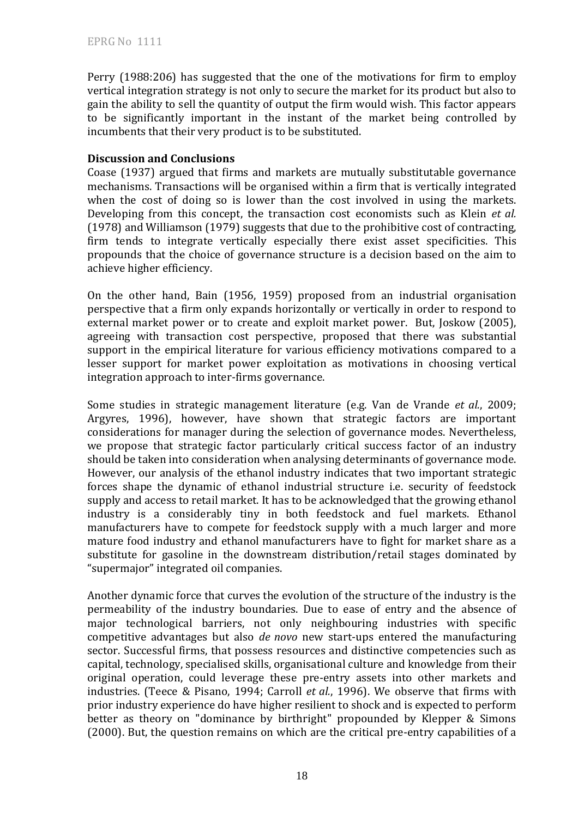Perry (1988:206) has suggested that the one of the motivations for firm to employ vertical integration strategy is not only to secure the market for its product but also to gain the ability to sell the quantity of output the firm would wish. This factor appears to be significantly important in the instant of the market being controlled by incumbents that their very product is to be substituted.

#### **Discussion and Conclusions**

Coase (1937) argued that firms and markets are mutually substitutable governance mechanisms. Transactions will be organised within a firm that is vertically integrated when the cost of doing so is lower than the cost involved in using the markets. Developing from this concept, the transaction cost economists such as Klein *et al.* (1978) and Williamson (1979) suggests that due to the prohibitive cost of contracting, firm tends to integrate vertically especially there exist asset specificities. This propounds that the choice of governance structure is a decision based on the aim to achieve higher efficiency.

On the other hand, Bain (1956, 1959) proposed from an industrial organisation perspective that a firm only expands horizontally or vertically in order to respond to external market power or to create and exploit market power. But, Joskow (2005), agreeing with transaction cost perspective, proposed that there was substantial support in the empirical literature for various efficiency motivations compared to a lesser support for market power exploitation as motivations in choosing vertical integration approach to inter-firms governance.

Some studies in strategic management literature (e.g. Van de Vrande *et al.*, 2009; Argyres, 1996), however, have shown that strategic factors are important considerations for manager during the selection of governance modes. Nevertheless, we propose that strategic factor particularly critical success factor of an industry should be taken into consideration when analysing determinants of governance mode. However, our analysis of the ethanol industry indicates that two important strategic forces shape the dynamic of ethanol industrial structure i.e. security of feedstock supply and access to retail market. It has to be acknowledged that the growing ethanol industry is a considerably tiny in both feedstock and fuel markets. Ethanol manufacturers have to compete for feedstock supply with a much larger and more mature food industry and ethanol manufacturers have to fight for market share as a substitute for gasoline in the downstream distribution/retail stages dominated by "supermajor" integrated oil companies.

Another dynamic force that curves the evolution of the structure of the industry is the permeability of the industry boundaries. Due to ease of entry and the absence of major technological barriers, not only neighbouring industries with specific competitive advantages but also *de novo* new start-ups entered the manufacturing sector. Successful firms, that possess resources and distinctive competencies such as capital, technology, specialised skills, organisational culture and knowledge from their original operation, could leverage these pre-entry assets into other markets and industries. (Teece & Pisano, 1994; Carroll *et al.*, 1996). We observe that firms with prior industry experience do have higher resilient to shock and is expected to perform better as theory on "dominance by birthright" propounded by Klepper & Simons (2000). But, the question remains on which are the critical pre-entry capabilities of a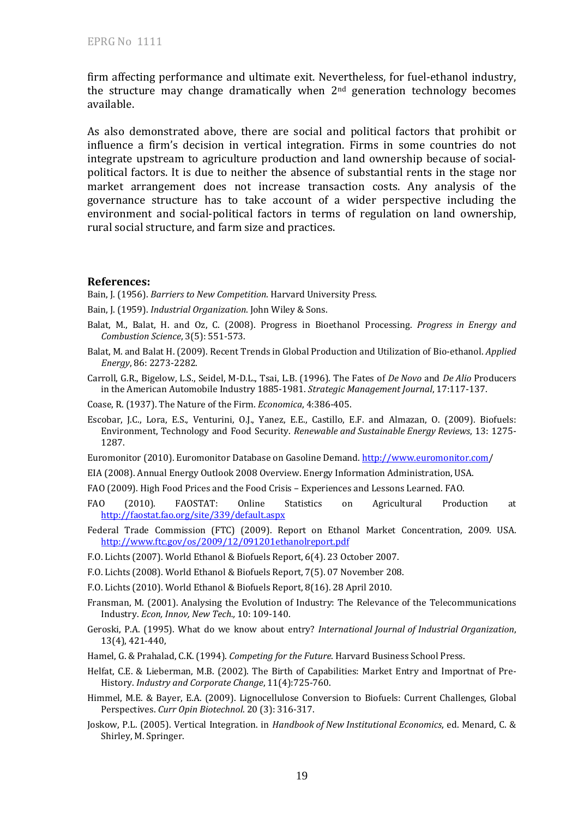firm affecting performance and ultimate exit. Nevertheless, for fuel-ethanol industry, the structure may change dramatically when 2nd generation technology becomes available.

As also demonstrated above, there are social and political factors that prohibit or influence a firm's decision in vertical integration. Firms in some countries do not integrate upstream to agriculture production and land ownership because of socialpolitical factors. It is due to neither the absence of substantial rents in the stage nor market arrangement does not increase transaction costs. Any analysis of the governance structure has to take account of a wider perspective including the environment and social-political factors in terms of regulation on land ownership, rural social structure, and farm size and practices.

#### **References:**

Bain, J. (1956). *Barriers to New Competition*. Harvard University Press.

- Bain, J. (1959). *Industrial Organization*. John Wiley & Sons.
- Balat, M., Balat, H. and Oz, C. (2008). Progress in Bioethanol Processing. *Progress in Energy and Combustion Science*, 3(5): 551-573.
- Balat, M. and Balat H. (2009). Recent Trends in Global Production and Utilization of Bio-ethanol. *Applied Energy*, 86: 2273-2282.
- Carroll, G.R., Bigelow, L.S., Seidel, M-D.L., Tsai, L.B. (1996). The Fates of *De Novo* and *De Alio* Producers in the American Automobile Industry 1885-1981. *Strategic Management Journal*, 17:117-137.
- Coase, R. (1937). The Nature of the Firm. *Economica*, 4:386-405.
- Escobar, J.C., Lora, E.S., Venturini, O.J., Yanez, E.E., Castillo, E.F. and Almazan, O. (2009). Biofuels: Environment, Technology and Food Security. *Renewable and Sustainable Energy Reviews*, 13: 1275- 1287.
- Euromonitor (2010). Euromonitor Database on Gasoline Demand. http://www.euromonitor.com/

EIA (2008). Annual Energy Outlook 2008 Overview. Energy Information Administration, USA.

- FAO (2009). High Food Prices and the Food Crisis Experiences and Lessons Learned. FAO.
- FAO (2010). FAOSTAT: Online Statistics on Agricultural Production at http://faostat.fao.org/site/339/default.aspx
- Federal Trade Commission (FTC) (2009). Report on Ethanol Market Concentration, 2009. USA. http://www.ftc.gov/os/2009/12/091201ethanolreport.pdf
- F.O. Lichts (2007). World Ethanol & Biofuels Report, 6(4). 23 October 2007.
- F.O. Lichts (2008). World Ethanol & Biofuels Report, 7(5). 07 November 208.
- F.O. Lichts (2010). World Ethanol & Biofuels Report, 8(16). 28 April 2010.
- Fransman, M. (2001). Analysing the Evolution of Industry: The Relevance of the Telecommunications Industry. *Econ, Innov, New Tech.,* 10: 109-140.
- Geroski, P.A. (1995). What do we know about entry? *International Journal of Industrial Organization*, 13(4), 421-440,
- Hamel, G. & Prahalad, C.K. (1994). *Competing for the Future*. Harvard Business School Press.
- Helfat, C.E. & Lieberman, M.B. (2002). The Birth of Capabilities: Market Entry and Importnat of Pre-History. *Industry and Corporate Change*, 11(4):725-760.
- Himmel, M.E. & Bayer, E.A. (2009). Lignocellulose Conversion to Biofuels: Current Challenges, Global Perspectives. *Curr Opin Biotechnol*. 20 (3): 316-317.
- Joskow, P.L. (2005). Vertical Integration. in *Handbook of New Institutional Economics*, ed. Menard, C. & Shirley, M. Springer.